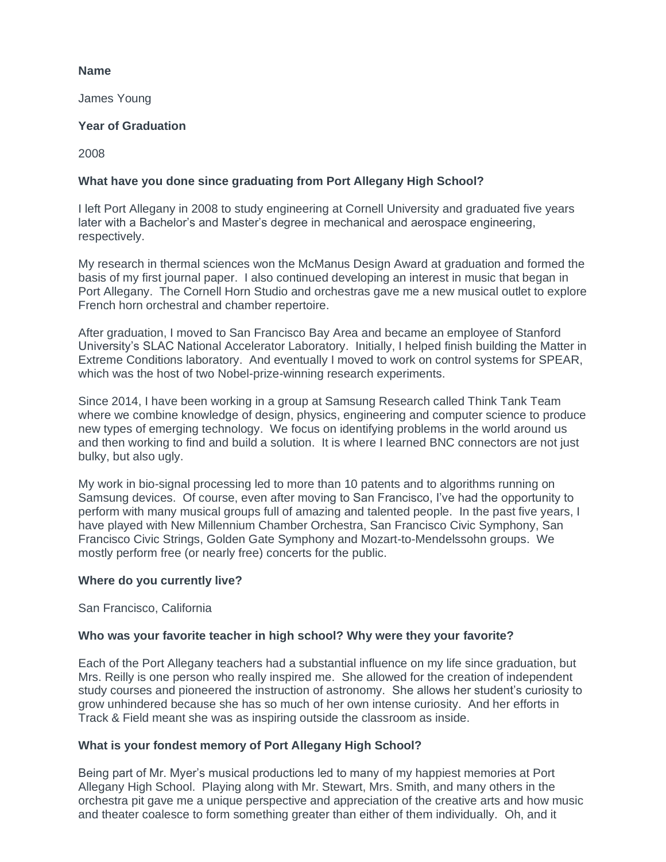## **Name**

James Young

## **Year of Graduation**

2008

# **What have you done since graduating from Port Allegany High School?**

I left Port Allegany in 2008 to study engineering at Cornell University and graduated five years later with a Bachelor's and Master's degree in mechanical and aerospace engineering, respectively.

My research in thermal sciences won the McManus Design Award at graduation and formed the basis of my first journal paper. I also continued developing an interest in music that began in Port Allegany. The Cornell Horn Studio and orchestras gave me a new musical outlet to explore French horn orchestral and chamber repertoire.

After graduation, I moved to San Francisco Bay Area and became an employee of Stanford University's SLAC National Accelerator Laboratory. Initially, I helped finish building the Matter in Extreme Conditions laboratory. And eventually I moved to work on control systems for SPEAR, which was the host of two Nobel-prize-winning research experiments.

Since 2014, I have been working in a group at Samsung Research called Think Tank Team where we combine knowledge of design, physics, engineering and computer science to produce new types of emerging technology. We focus on identifying problems in the world around us and then working to find and build a solution. It is where I learned BNC connectors are not just bulky, but also ugly.

My work in bio-signal processing led to more than 10 patents and to algorithms running on Samsung devices. Of course, even after moving to San Francisco, I've had the opportunity to perform with many musical groups full of amazing and talented people. In the past five years, I have played with New Millennium Chamber Orchestra, San Francisco Civic Symphony, San Francisco Civic Strings, Golden Gate Symphony and Mozart-to-Mendelssohn groups. We mostly perform free (or nearly free) concerts for the public.

#### **Where do you currently live?**

San Francisco, California

## **Who was your favorite teacher in high school? Why were they your favorite?**

Each of the Port Allegany teachers had a substantial influence on my life since graduation, but Mrs. Reilly is one person who really inspired me. She allowed for the creation of independent study courses and pioneered the instruction of astronomy. She allows her student's curiosity to grow unhindered because she has so much of her own intense curiosity. And her efforts in Track & Field meant she was as inspiring outside the classroom as inside.

## **What is your fondest memory of Port Allegany High School?**

Being part of Mr. Myer's musical productions led to many of my happiest memories at Port Allegany High School. Playing along with Mr. Stewart, Mrs. Smith, and many others in the orchestra pit gave me a unique perspective and appreciation of the creative arts and how music and theater coalesce to form something greater than either of them individually. Oh, and it